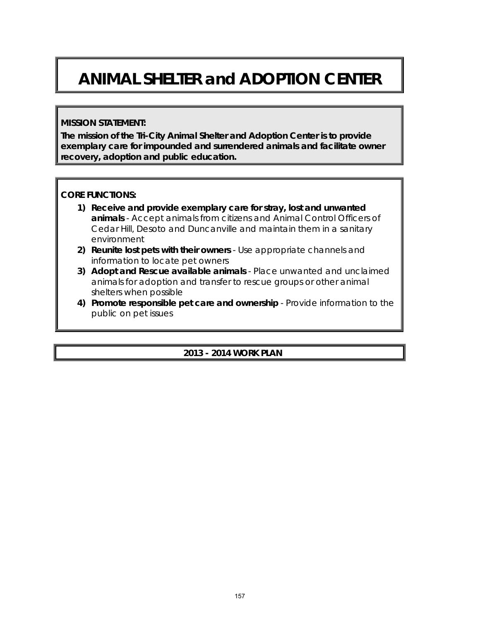# **ANIMAL SHELTER and ADOPTION CENTER**

#### **MISSION STATEMENT:**

**The mission of the Tri-City Animal Shelter and Adoption Center is to provide exemplary care for impounded and surrendered animals and facilitate owner recovery, adoption and public education.**

#### **CORE FUNCTIONS:**

- **1) Receive and provide exemplary care for stray, lost and unwanted animals** - Accept animals from citizens and Animal Control Officers of Cedar Hill, Desoto and Duncanville and maintain them in a sanitary environment
- **2) Reunite lost pets with their owners** Use appropriate channels and information to locate pet owners
- **3) Adopt and Rescue available animals** Place unwanted and unclaimed animals for adoption and transfer to rescue groups or other animal shelters when possible
- **4) Promote responsible pet care and ownership** Provide information to the public on pet issues

## **2013 - 2014 WORK PLAN**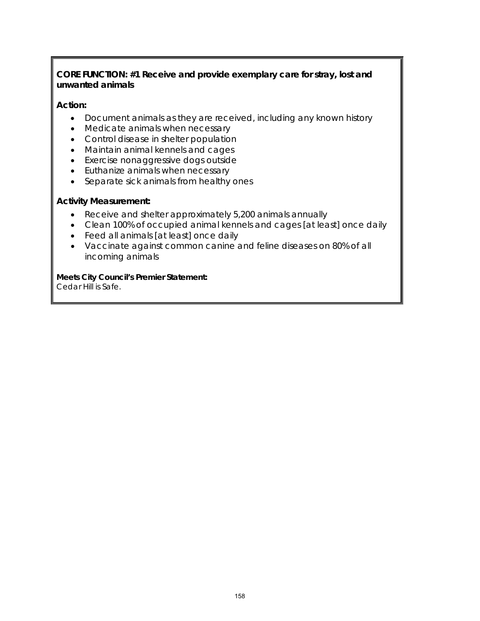## **CORE FUNCTION: #1 Receive and provide exemplary care for stray, lost and unwanted animals**

#### **Action:**

- Document animals as they are received, including any known history
- Medicate animals when necessary
- Control disease in shelter population
- Maintain animal kennels and cages
- Exercise nonaggressive dogs outside
- Euthanize animals when necessary
- Separate sick animals from healthy ones

#### **Activity Measurement:**

- Receive and shelter approximately 5,200 animals annually
- Clean 100% of occupied animal kennels and cages [at least] once daily
- Feed all animals [at least] once daily
- Vaccinate against common canine and feline diseases on 80% of all incoming animals

#### **Meets City Council's Premier Statement:**

Cedar Hill is Safe.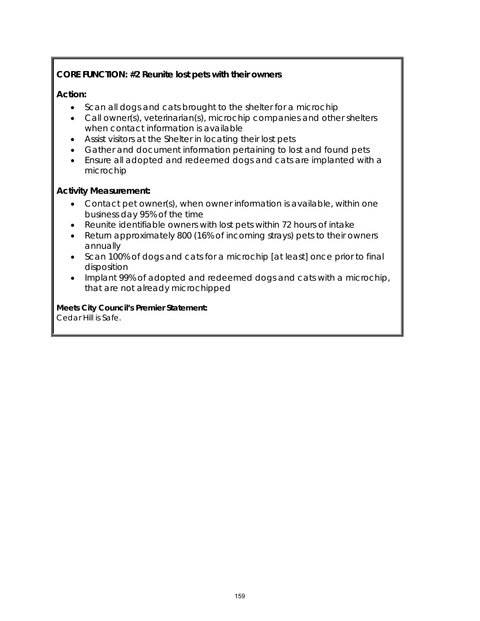# **CORE FUNCTION: #2 Reunite lost pets with their owners**

### **Action:**

- Scan all dogs and cats brought to the shelter for a microchip
- Call owner(s), veterinarian(s), microchip companies and other shelters when contact information is available
- Assist visitors at the Shelter in locating their lost pets
- Gather and document information pertaining to lost and found pets
- Ensure all adopted and redeemed dogs and cats are implanted with a microchip

#### **Activity Measurement:**

- Contact pet owner(s), when owner information is available, within one business day 95% of the time
- Reunite identifiable owners with lost pets within 72 hours of intake
- Return approximately 800 (16% of incoming strays) pets to their owners annually
- Scan 100% of dogs and cats for a microchip [at least] once prior to final disposition
- Implant 99% of adopted and redeemed dogs and cats with a microchip, that are not already microchipped

**Meets City Council's Premier Statement:** Cedar Hill is Safe.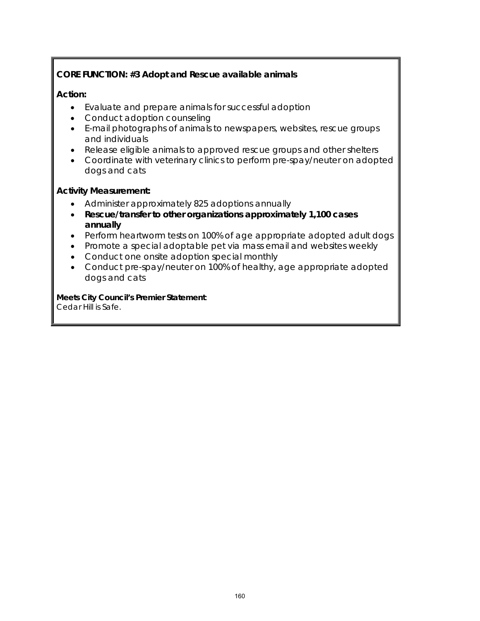# **CORE FUNCTION: #3 Adopt and Rescue available animals**

### **Action:**

- Evaluate and prepare animals for successful adoption
- Conduct adoption counseling
- E-mail photographs of animals to newspapers, websites, rescue groups and individuals
- Release eligible animals to approved rescue groups and other shelters
- Coordinate with veterinary clinics to perform pre-spay/neuter on adopted dogs and cats

#### **Activity Measurement:**

- Administer approximately 825 adoptions annually
- **Rescue/transfer to other organizations approximately 1,100 cases annually**
- Perform heartworm tests on 100% of age appropriate adopted adult dogs
- Promote a special adoptable pet via mass email and websites weekly
- Conduct one onsite adoption special monthly
- Conduct pre-spay/neuter on 100% of healthy, age appropriate adopted dogs and cats

**Meets City Council's Premier Statement**: Cedar Hill is Safe.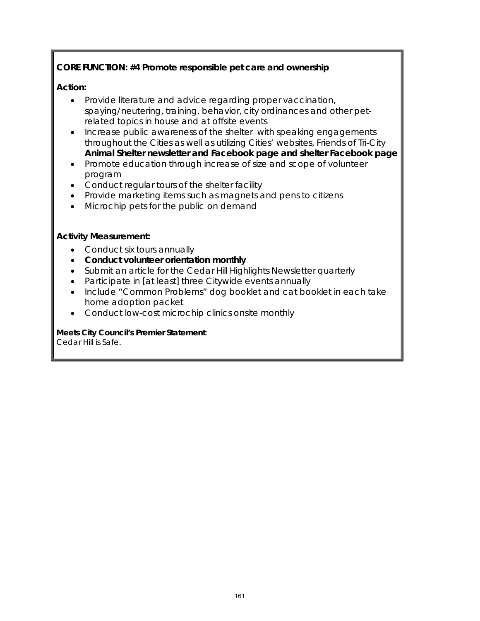# **CORE FUNCTION: #4 Promote responsible pet care and ownership**

## **Action:**

- Provide literature and advice regarding proper vaccination, spaying/neutering, training, behavior, city ordinances and other petrelated topics in house and at offsite events
- Increase public awareness of the shelter with speaking engagements throughout the Cities as well as utilizing Cities' websites, Friends of Tri-City **Animal Shelter newsletter and Facebook page and shelter Facebook page**
- Promote education through increase of size and scope of volunteer program
- Conduct regular tours of the shelter facility
- Provide marketing items such as magnets and pens to citizens
- Microchip pets for the public on demand

## **Activity Measurement:**

- Conduct six tours annually
- **Conduct volunteer orientation monthly**
- Submit an article for the Cedar Hill Highlights Newsletter quarterly
- Participate in [at least] three Citywide events annually
- Include "Common Problems" dog booklet and cat booklet in each take home adoption packet
- Conduct low-cost microchip clinics onsite monthly

# **Meets City Council's Premier Statement**:

Cedar Hill is Safe.